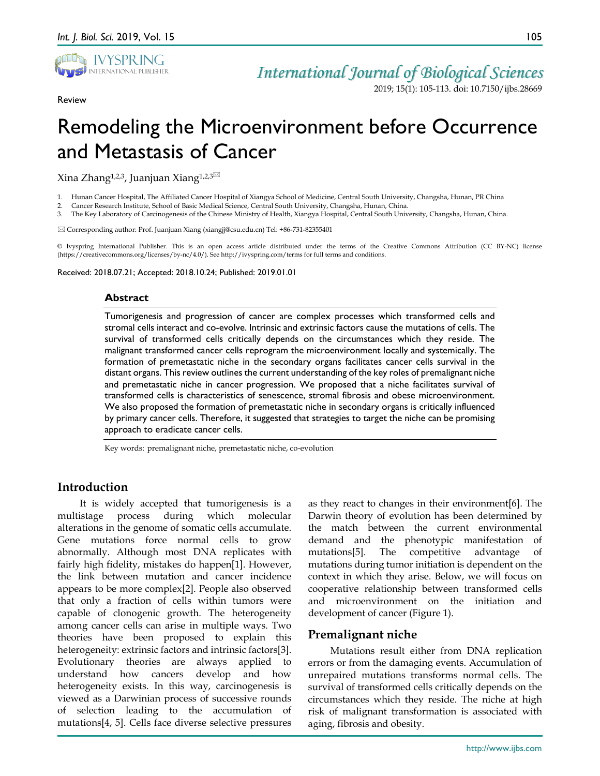

Review

2019; 15(1): 105-113. doi: 10.7150/ijbs.28669

# Remodeling the Microenvironment before Occurrence and Metastasis of Cancer

Xina Zhang<sup>1,2,3</sup>, Juanjuan Xiang<sup>1,2,3⊠</sup>

1. Hunan Cancer Hospital, The Affiliated Cancer Hospital of Xiangya School of Medicine, Central South University, Changsha, Hunan, PR China

2. Cancer Research Institute, School of Basic Medical Science, Central South University, Changsha, Hunan, China.

3. The Key Laboratory of Carcinogenesis of the Chinese Ministry of Health, Xiangya Hospital, Central South University, Changsha, Hunan, China.

Corresponding author: Prof. Juanjuan Xiang (xiangjj@csu.edu.cn) Tel: +86-731-82355401

© Ivyspring International Publisher. This is an open access article distributed under the terms of the Creative Commons Attribution (CC BY-NC) license (https://creativecommons.org/licenses/by-nc/4.0/). See http://ivyspring.com/terms for full terms and conditions.

Received: 2018.07.21; Accepted: 2018.10.24; Published: 2019.01.01

## **Abstract**

Tumorigenesis and progression of cancer are complex processes which transformed cells and stromal cells interact and co-evolve. Intrinsic and extrinsic factors cause the mutations of cells. The survival of transformed cells critically depends on the circumstances which they reside. The malignant transformed cancer cells reprogram the microenvironment locally and systemically. The formation of premetastatic niche in the secondary organs facilitates cancer cells survival in the distant organs. This review outlines the current understanding of the key roles of premalignant niche and premetastatic niche in cancer progression. We proposed that a niche facilitates survival of transformed cells is characteristics of senescence, stromal fibrosis and obese microenvironment. We also proposed the formation of premetastatic niche in secondary organs is critically influenced by primary cancer cells. Therefore, it suggested that strategies to target the niche can be promising approach to eradicate cancer cells.

Key words: premalignant niche, premetastatic niche, co-evolution

# **Introduction**

It is widely accepted that tumorigenesis is a multistage process during which molecular alterations in the genome of somatic cells accumulate. Gene mutations force normal cells to grow abnormally. Although most DNA replicates with fairly high fidelity, mistakes do happen[1]. However, the link between mutation and cancer incidence appears to be more complex[2]. People also observed that only a fraction of cells within tumors were capable of clonogenic growth. The heterogeneity among cancer cells can arise in multiple ways. Two theories have been proposed to explain this heterogeneity: extrinsic factors and intrinsic factors[3]. Evolutionary theories are always applied to understand how cancers develop and how heterogeneity exists. In this way, carcinogenesis is viewed as a Darwinian process of successive rounds of selection leading to the accumulation of mutations[4, 5]. Cells face diverse selective pressures

as they react to changes in their environment[6]. The Darwin theory of evolution has been determined by the match between the current environmental demand and the phenotypic manifestation of mutations[5]. The competitive advantage of mutations during tumor initiation is dependent on the context in which they arise. Below, we will focus on cooperative relationship between transformed cells and microenvironment on the initiation and development of cancer (Figure 1).

# **Premalignant niche**

Mutations result either from DNA replication errors or from the damaging events. Accumulation of unrepaired mutations transforms normal cells. The survival of transformed cells critically depends on the circumstances which they reside. The niche at high risk of malignant transformation is associated with aging, fibrosis and obesity.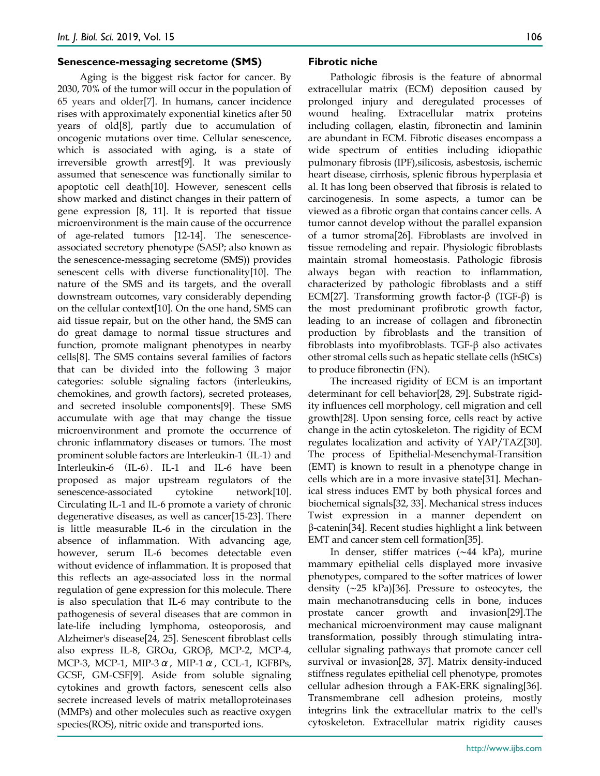#### **Senescence-messaging secretome (SMS)**

Aging is the biggest risk factor for cancer. By 2030, 70% of the tumor will occur in the population of 65 years and older[7]. In humans, cancer incidence rises with approximately exponential kinetics after 50 years of old[8], partly due to accumulation of oncogenic mutations over time. Cellular senescence, which is associated with aging, is a state of irreversible growth arrest[9]. It was previously assumed that senescence was functionally similar to apoptotic cell death[10]. However, senescent cells show marked and distinct changes in their pattern of gene expression [8, 11]. It is reported that tissue microenvironment is the main cause of the occurrence of age-related tumors [12-14]. The senescenceassociated secretory phenotype (SASP; also known as the senescence-messaging secretome (SMS)) provides senescent cells with diverse functionality[10]. The nature of the SMS and its targets, and the overall downstream outcomes, vary considerably depending on the cellular context[10]. On the one hand, SMS can aid tissue repair, but on the other hand, the SMS can do great damage to normal tissue structures and function, promote malignant phenotypes in nearby cells[8]. The SMS contains several families of factors that can be divided into the following 3 major categories: soluble signaling factors (interleukins, chemokines, and growth factors), secreted proteases, and secreted insoluble components[9]. These SMS accumulate with age that may change the tissue microenvironment and promote the occurrence of chronic inflammatory diseases or tumors. The most prominent soluble factors are Interleukin-1 (IL-1) and Interleukin-6 (IL-6). IL-1 and IL-6 have been proposed as major upstream regulators of the senescence-associated cytokine network[10]. Circulating IL-1 and IL-6 promote a variety of chronic degenerative diseases, as well as cancer[15-23]. There is little measurable IL-6 in the circulation in the absence of inflammation. With advancing age, however, serum IL-6 becomes detectable even without evidence of inflammation. It is proposed that this reflects an age-associated loss in the normal regulation of gene expression for this molecule. There is also speculation that IL-6 may contribute to the pathogenesis of several diseases that are common in late-life including lymphoma, osteoporosis, and Alzheimer's disease[24, 25]. Senescent fibroblast cells also express IL-8, GROα, GROβ, MCP-2, MCP-4, MCP-3, MCP-1, MIP-3 $\alpha$ , MIP-1 $\alpha$ , CCL-1, IGFBPs, GCSF, GM-CSF[9]. Aside from soluble signaling cytokines and growth factors, senescent cells also secrete increased levels of matrix metalloproteinases (MMPs) and other molecules such as reactive oxygen species(ROS), nitric oxide and transported ions.

#### **Fibrotic niche**

Pathologic fibrosis is the feature of abnormal extracellular matrix (ECM) deposition caused by prolonged injury and deregulated processes of wound healing. Extracellular matrix proteins including collagen, elastin, fibronectin and laminin are abundant in ECM. Fibrotic diseases encompass a wide spectrum of entities including idiopathic pulmonary fibrosis (IPF),silicosis, asbestosis, ischemic heart disease, cirrhosis, splenic fibrous hyperplasia et al. It has long been observed that fibrosis is related to carcinogenesis. In some aspects, a tumor can be viewed as a fibrotic organ that contains cancer cells. A tumor cannot develop without the parallel expansion of a tumor stroma[26]. Fibroblasts are involved in tissue remodeling and repair. Physiologic fibroblasts maintain stromal homeostasis. Pathologic fibrosis always began with reaction to inflammation, characterized by pathologic fibroblasts and a stiff ECM[27]. Transforming growth factor-β (TGF-β) is the most predominant profibrotic growth factor, leading to an increase of collagen and fibronectin production by fibroblasts and the transition of fibroblasts into myofibroblasts. TGF-β also activates other stromal cells such as hepatic stellate cells (hStCs) to produce fibronectin (FN).

The increased rigidity of ECM is an important determinant for cell behavior[28, 29]. Substrate rigidity influences cell morphology, cell migration and cell growth[28]. Upon sensing force, cells react by active change in the actin cytoskeleton. The rigidity of ECM regulates localization and activity of YAP/TAZ[30]. The process of Epithelial-Mesenchymal-Transition (EMT) is known to result in a phenotype change in cells which are in a more invasive state[31]. Mechanical stress induces EMT by both physical forces and biochemical signals[32, 33]. Mechanical stress induces Twist expression in a manner dependent on β-catenin[34]. Recent studies highlight a link between EMT and cancer stem cell formation[35].

In denser, stiffer matrices (∼44 kPa), murine mammary epithelial cells displayed more invasive phenotypes, compared to the softer matrices of lower density (∼25 kPa)[36]. Pressure to osteocytes, the main mechanotransducing cells in bone, induces prostate cancer growth and invasion[29].The mechanical microenvironment may cause malignant transformation, possibly through stimulating intracellular signaling pathways that promote cancer cell survival or invasion[28, 37]. Matrix density-induced stiffness regulates epithelial cell phenotype, promotes cellular adhesion through a FAK-ERK signaling[36]. Transmembrane cell adhesion proteins, mostly integrins link the extracellular matrix to the cell's cytoskeleton. Extracellular matrix rigidity causes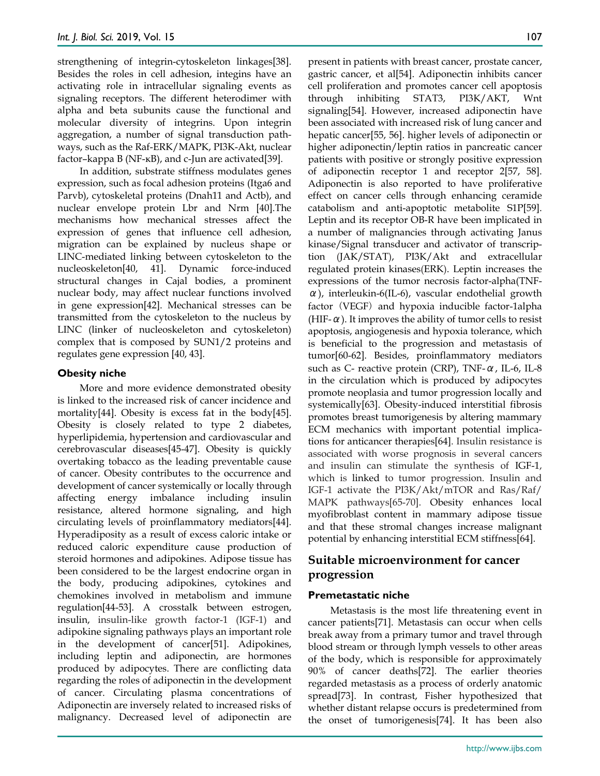strengthening of integrin-cytoskeleton linkages[38]. Besides the roles in cell adhesion, integins have an activating role in intracellular signaling events as signaling receptors. The different heterodimer with alpha and beta subunits cause the functional and molecular diversity of integrins. Upon integrin aggregation, a number of signal transduction pathways, such as the Raf-ERK/MAPK, PI3K-Akt, nuclear factor–kappa B (NF-κB), and c-Jun are activated[39].

In addition, substrate stiffness modulates genes expression, such as focal adhesion proteins (Itga6 and Parvb), cytoskeletal proteins (Dnah11 and Actb), and nuclear envelope protein Lbr and Nrm [40].The mechanisms how mechanical stresses affect the expression of genes that influence cell adhesion, migration can be explained by nucleus shape or LINC-mediated linking between cytoskeleton to the nucleoskeleton[40, 41]. Dynamic force-induced structural changes in Cajal bodies, a prominent nuclear body, may affect nuclear functions involved in gene expression[42]. Mechanical stresses can be transmitted from the cytoskeleton to the nucleus by LINC (linker of nucleoskeleton and cytoskeleton) complex that is composed by SUN1/2 proteins and regulates gene expression [40, 43].

## **Obesity niche**

More and more evidence demonstrated obesity is linked to the increased risk of cancer incidence and mortality[44]. Obesity is excess fat in the body[45]. Obesity is closely related to type 2 diabetes, hyperlipidemia, hypertension and cardiovascular and cerebrovascular diseases[45-47]. Obesity is quickly overtaking tobacco as the leading preventable cause of cancer. Obesity contributes to the occurrence and development of cancer systemically or locally through affecting energy imbalance including insulin resistance, altered hormone signaling, and high circulating levels of proinflammatory mediators[44]. Hyperadiposity as a result of excess caloric intake or reduced caloric expenditure cause production of steroid hormones and adipokines. Adipose tissue has been considered to be the largest endocrine organ in the body, producing adipokines, cytokines and chemokines involved in metabolism and immune regulation[44-53]. A crosstalk between estrogen, insulin, insulin-like growth factor-1 (IGF-1) and adipokine signaling pathways plays an important role in the development of cancer[51]. Adipokines, including leptin and adiponectin, are hormones produced by adipocytes. There are conflicting data regarding the roles of adiponectin in the development of cancer. Circulating plasma concentrations of Adiponectin are inversely related to increased risks of malignancy. Decreased level of adiponectin are

present in patients with breast cancer, prostate cancer, gastric cancer, et al[54]. Adiponectin inhibits cancer cell proliferation and promotes cancer cell apoptosis through inhibiting STAT3, PI3K/AKT, Wnt signaling[54]. However, increased adiponectin have been associated with increased risk of lung cancer and hepatic cancer[55, 56]. higher levels of adiponectin or higher adiponectin/leptin ratios in pancreatic cancer patients with positive or strongly positive expression of adiponectin receptor 1 and receptor 2[57, 58]. Adiponectin is also reported to have proliferative effect on cancer cells through enhancing ceramide catabolism and anti-apoptotic metabolite S1P[59]. Leptin and its receptor OB-R have been implicated in a number of malignancies through activating Janus kinase/Signal transducer and activator of transcription (JAK/STAT), PI3K/Akt and extracellular regulated protein kinases(ERK). Leptin increases the expressions of the tumor necrosis factor-alpha(TNFα), interleukin-6(IL-6), vascular endothelial growth factor (VEGF) and hypoxia inducible factor-1alpha (HIF- $\alpha$ ). It improves the ability of tumor cells to resist apoptosis, angiogenesis and hypoxia tolerance, which is beneficial to the progression and metastasis of tumor[60-62]. Besides, proinflammatory mediators such as C- reactive protein (CRP), TNF-α, IL-6, IL-8 in the circulation which is produced by adipocytes promote neoplasia and tumor progression locally and systemically[63]. Obesity-induced interstitial fibrosis promotes breast tumorigenesis by altering mammary ECM mechanics with important potential implications for anticancer therapies[64]. Insulin resistance is associated with worse prognosis in several cancers and insulin can stimulate the synthesis of IGF-1, which is linked to tumor progression. Insulin and IGF-1 activate the PI3K/Akt/mTOR and Ras/Raf/ MAPK pathways[65-70]. Obesity enhances local myofibroblast content in mammary adipose tissue and that these stromal changes increase malignant potential by enhancing interstitial ECM stiffness[64].

# **Suitable microenvironment for cancer progression**

## **Premetastatic niche**

Metastasis is the most life threatening event in cancer patients[71]. Metastasis can occur when cells break away from a primary tumor and travel through blood stream or through lymph vessels to other areas of the body, which is responsible for approximately 90% of cancer deaths[72]. The earlier theories regarded metastasis as a process of orderly anatomic spread[73]. In contrast, Fisher hypothesized that whether distant relapse occurs is predetermined from the onset of tumorigenesis[74]. It has been also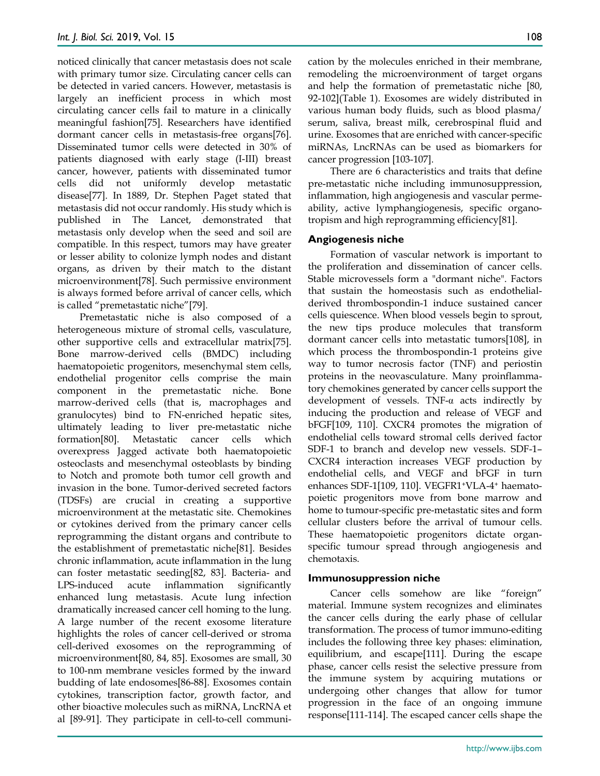noticed clinically that cancer metastasis does not scale with primary tumor size. Circulating cancer cells can be detected in varied cancers. However, metastasis is largely an inefficient process in which most circulating cancer cells fail to mature in a clinically meaningful fashion[75]. Researchers have identified dormant cancer cells in metastasis-free organs[76]. Disseminated tumor cells were detected in 30% of patients diagnosed with early stage (I-III) breast cancer, however, patients with disseminated tumor cells did not uniformly develop metastatic disease[77]. In 1889, Dr. Stephen Paget stated that metastasis did not occur randomly. His study which is published in The Lancet, demonstrated that metastasis only develop when the seed and soil are compatible. In this respect, tumors may have greater or lesser ability to colonize lymph nodes and distant organs, as driven by their match to the distant microenvironment[78]. Such permissive environment is always formed before arrival of cancer cells, which is called "premetastatic niche"[79].

Premetastatic niche is also composed of a heterogeneous mixture of stromal cells, vasculature, other supportive cells and extracellular matrix[75]. Bone marrow-derived cells (BMDC) including haematopoietic progenitors, mesenchymal stem cells, endothelial progenitor cells comprise the main component in the premetastatic niche. Bone marrow-derived cells (that is, macrophages and granulocytes) bind to FN-enriched hepatic sites, ultimately leading to liver pre-metastatic niche formation[80]. Metastatic cancer cells which overexpress Jagged activate both haematopoietic osteoclasts and mesenchymal osteoblasts by binding to Notch and promote both tumor cell growth and invasion in the bone. Tumor-derived secreted factors (TDSFs) are crucial in creating a supportive microenvironment at the metastatic site. Chemokines or cytokines derived from the primary cancer cells reprogramming the distant organs and contribute to the establishment of premetastatic niche[81]. Besides chronic inflammation, acute inflammation in the lung can foster metastatic seeding[82, 83]. Bacteria- and LPS-induced acute inflammation significantly enhanced lung metastasis. Acute lung infection dramatically increased cancer cell homing to the lung. A large number of the recent exosome literature highlights the roles of cancer cell-derived or stroma cell-derived exosomes on the reprogramming of microenvironment[80, 84, 85]. Exosomes are small, 30 to 100-nm membrane vesicles formed by the inward budding of late endosomes[86-88]. Exosomes contain cytokines, transcription factor, growth factor, and other bioactive molecules such as miRNA, LncRNA et al [89-91]. They participate in cell-to-cell communication by the molecules enriched in their membrane, remodeling the microenvironment of target organs and help the formation of premetastatic niche [80, 92-102](Table 1). Exosomes are widely distributed in various human body fluids, such as blood plasma/ serum, saliva, breast milk, cerebrospinal fluid and urine. Exosomes that are enriched with cancer-specific miRNAs, LncRNAs can be used as biomarkers for cancer progression [103-107].

There are 6 characteristics and traits that define pre-metastatic niche including immunosuppression, inflammation, high angiogenesis and vascular permeability, active lymphangiogenesis, specific organotropism and high reprogramming efficiency[81].

## **Angiogenesis niche**

Formation of vascular network is important to the proliferation and dissemination of cancer cells. Stable microvessels form a "dormant niche". Factors that sustain the homeostasis such as endothelialderived thrombospondin-1 induce sustained cancer cells quiescence. When blood vessels begin to sprout, the new tips produce molecules that transform dormant cancer cells into metastatic tumors[108], in which process the thrombospondin-1 proteins give way to tumor necrosis factor (TNF) and periostin proteins in the neovasculature. Many proinflammatory chemokines generated by cancer cells support the development of vessels. TNF- $\alpha$  acts indirectly by inducing the production and release of VEGF and bFGF[109, 110]. CXCR4 promotes the migration of endothelial cells toward stromal cells derived factor SDF-1 to branch and develop new vessels. SDF-1– CXCR4 interaction increases VEGF production by endothelial cells, and VEGF and bFGF in turn enhances SDF-1[109, 110]. VEGFR1+VLA-4+ haematopoietic progenitors move from bone marrow and home to tumour-specific pre-metastatic sites and form cellular clusters before the arrival of tumour cells. These haematopoietic progenitors dictate organspecific tumour spread through angiogenesis and chemotaxis.

### **Immunosuppression niche**

Cancer cells somehow are like "foreign" material. Immune system recognizes and eliminates the cancer cells during the early phase of cellular transformation. The process of tumor immuno-editing includes the following three key phases: elimination, equilibrium, and escape[111]. During the escape phase, cancer cells resist the selective pressure from the immune system by acquiring mutations or undergoing other changes that allow for tumor progression in the face of an ongoing immune response[111-114]. The escaped cancer cells shape the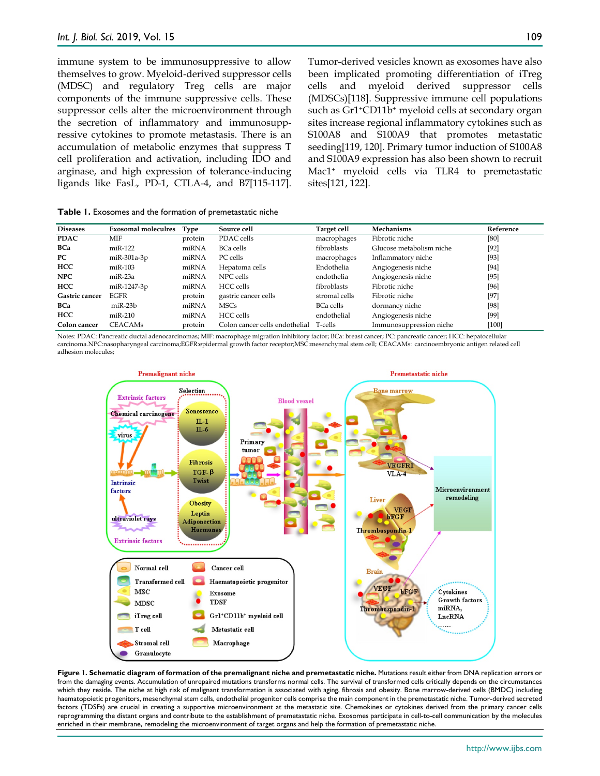immune system to be immunosuppressive to allow themselves to grow. Myeloid-derived suppressor cells (MDSC) and regulatory Treg cells are major components of the immune suppressive cells. These suppressor cells alter the microenvironment through the secretion of inflammatory and immunosuppressive cytokines to promote metastasis. There is an accumulation of metabolic enzymes that suppress T cell proliferation and activation, including IDO and arginase, and high expression of tolerance-inducing ligands like FasL, PD-1, CTLA-4, and B7[115-117].

Tumor-derived vesicles known as exosomes have also been implicated promoting differentiation of iTreg cells and myeloid derived suppressor cells (MDSCs)[118]. Suppressive immune cell populations such as Gr1+CD11b+ myeloid cells at secondary organ sites increase regional inflammatory cytokines such as S100A8 and S100A9 that promotes metastatic seeding[119, 120]. Primary tumor induction of S100A8 and S100A9 expression has also been shown to recruit Mac1+ myeloid cells via TLR4 to premetastatic sites[121, 122].

| <b>Diseases</b> | <b>Exosomal moleculres</b> | <b>Type</b> | Source cell                            | Target cell      | Mechanisms                                                                                                                                                                                                                                                                                        | Reference |
|-----------------|----------------------------|-------------|----------------------------------------|------------------|---------------------------------------------------------------------------------------------------------------------------------------------------------------------------------------------------------------------------------------------------------------------------------------------------|-----------|
| <b>PDAC</b>     | MIF                        | protein     | PDAC cells                             | macrophages      | Fibrotic niche                                                                                                                                                                                                                                                                                    | [80]      |
| <b>BCa</b>      | $miR-122$                  | miRNA       | <b>BCa cells</b>                       | fibroblasts      | Glucose metabolism niche                                                                                                                                                                                                                                                                          | $[92]$    |
| PC.             | miR-301a-3p                | miRNA       | PC cells                               | macrophages      | Inflammatory niche                                                                                                                                                                                                                                                                                | $[93]$    |
| <b>HCC</b>      | $miR-103$                  | miRNA       | Hepatoma cells                         | Endothelia       | Angiogenesis niche                                                                                                                                                                                                                                                                                | $[94]$    |
| <b>NPC</b>      | $miR-23a$                  | miRNA       | NPC cells                              | endothelia       | Angiogenesis niche                                                                                                                                                                                                                                                                                | $[95]$    |
| <b>HCC</b>      | miR-1247-3p                | miRNA       | HCC cells                              | fibroblasts      | Fibrotic niche                                                                                                                                                                                                                                                                                    | [96]      |
| Gastric cancer  | <b>EGFR</b>                | protein     | gastric cancer cells                   | stromal cells    | Fibrotic niche                                                                                                                                                                                                                                                                                    | $[97]$    |
| <b>BCa</b>      | $miR-23b$                  | miRNA       | <b>MSCs</b>                            | <b>BCa cells</b> | dormancy niche                                                                                                                                                                                                                                                                                    | [98]      |
| <b>HCC</b>      | $miR-210$                  | miRNA       | HCC cells                              | endothelial      | Angiogenesis niche                                                                                                                                                                                                                                                                                | [99]      |
| Colon cancer    | <b>CEACAMs</b>             | protein     | Colon cancer cells endothelial T-cells |                  | Immunosuppression niche                                                                                                                                                                                                                                                                           | [100]     |
|                 |                            |             |                                        |                  | M. $\alpha$ . The $\alpha$ number of $\alpha$ is the set of $\alpha$ is the state of $\alpha$ is $\alpha$ is $\alpha$ is $\alpha$ is $\alpha$ is the state of $\alpha$ is the state of $\alpha$ is $\alpha$ is the state of $\alpha$ is $\alpha$ is $\alpha$ is the state of $\alpha$ is $\alpha$ |           |

Notes: PDAC: Pancreatic ductal adenocarcinomas; MIF: macrophage migration inhibitory factor; BCa: breast cancer; PC: pancreatic cancer; HCC: hepatocellular carcinoma.NPC:nasopharyngeal carcinoma;EGFR:epidermal growth factor receptor;MSC:mesenchymal stem cell; CEACAMs: carcinoembryonic antigen related cell adhesion molecules;



**Figure 1. Schematic diagram of formation of the premalignant niche and premetastatic niche.** Mutations result either from DNA replication errors or from the damaging events. Accumulation of unrepaired mutations transforms normal cells. The survival of transformed cells critically depends on the circumstances which they reside. The niche at high risk of malignant transformation is associated with aging, fibrosis and obesity. Bone marrow-derived cells (BMDC) including haematopoietic progenitors, mesenchymal stem cells, endothelial progenitor cells comprise the main component in the premetastatic niche. Tumor-derived secreted factors (TDSFs) are crucial in creating a supportive microenvironment at the metastatic site. Chemokines or cytokines derived from the primary cancer cells reprogramming the distant organs and contribute to the establishment of premetastatic niche. Exosomes participate in cell-to-cell communication by the molecules enriched in their membrane, remodeling the microenvironment of target organs and help the formation of premetastatic niche.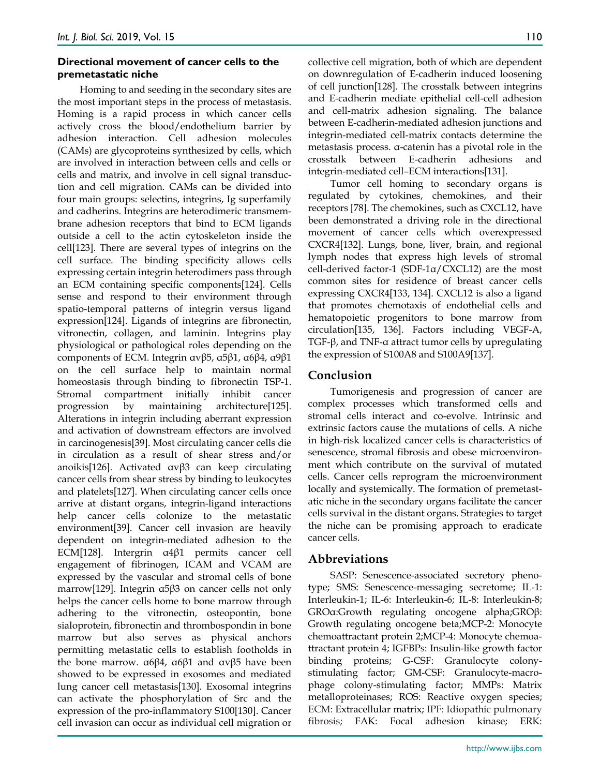## **Directional movement of cancer cells to the premetastatic niche**

Homing to and seeding in the secondary sites are the most important steps in the process of metastasis. Homing is a rapid process in which cancer cells actively cross the blood/endothelium barrier by adhesion interaction. Cell adhesion molecules (CAMs) are glycoproteins synthesized by cells, which are involved in interaction between cells and cells or cells and matrix, and involve in cell signal transduction and cell migration. CAMs can be divided into four main groups: selectins, integrins, Ig superfamily and cadherins. Integrins are heterodimeric transmembrane adhesion receptors that bind to ECM ligands outside a cell to the actin cytoskeleton inside the cell[123]. There are several types of integrins on the cell surface. The binding specificity allows cells expressing certain integrin heterodimers pass through an ECM containing specific components[124]. Cells sense and respond to their environment through spatio-temporal patterns of integrin versus ligand expression[124]. Ligands of integrins are fibronectin, vitronectin, collagen, and laminin. Integrins play physiological or pathological roles depending on the components of ECM. Integrin αvβ5, α5β1, α6β4, α9β1 on the cell surface help to maintain normal homeostasis through binding to fibronectin TSP-1. Stromal compartment initially inhibit cancer progression by maintaining architecture[125]. Alterations in integrin including aberrant expression and activation of downstream effectors are involved in carcinogenesis[39]. Most circulating cancer cells die in circulation as a result of shear stress and/or anoikis[126]. Activated αvβ3 can keep circulating cancer cells from shear stress by binding to leukocytes and platelets[127]. When circulating cancer cells once arrive at distant organs, integrin-ligand interactions help cancer cells colonize to the metastatic environment[39]. Cancer cell invasion are heavily dependent on integrin-mediated adhesion to the ECM[128]. Intergrin α4β1 permits cancer cell engagement of fibrinogen, ICAM and VCAM are expressed by the vascular and stromal cells of bone marrow[129]. Integrin α5β3 on cancer cells not only helps the cancer cells home to bone marrow through adhering to the vitronectin, osteopontin, bone sialoprotein, fibronectin and thrombospondin in bone marrow but also serves as physical anchors permitting metastatic cells to establish footholds in the bone marrow. α6β4, α6β1 and αvβ5 have been showed to be expressed in exosomes and mediated lung cancer cell metastasis[130]. Exosomal integrins can activate the phosphorylation of Src and the expression of the pro-inflammatory S100[130]. Cancer cell invasion can occur as individual cell migration or

collective cell migration, both of which are dependent on downregulation of E-cadherin induced loosening of cell junction[128]. The crosstalk between integrins and E-cadherin mediate epithelial cell-cell adhesion and cell-matrix adhesion signaling. The balance between E-cadherin-mediated adhesion junctions and integrin-mediated cell-matrix contacts determine the metastasis process. α-catenin has a pivotal role in the crosstalk between E-cadherin adhesions and integrin-mediated cell–ECM interactions[131].

Tumor cell homing to secondary organs is regulated by cytokines, chemokines, and their receptors [78]. The chemokines, such as CXCL12, have been demonstrated a driving role in the directional movement of cancer cells which overexpressed CXCR4[132]. Lungs, bone, liver, brain, and regional lymph nodes that express high levels of stromal cell-derived factor-1 (SDF-1α/CXCL12) are the most common sites for residence of breast cancer cells expressing CXCR4[133, 134]. CXCL12 is also a ligand that promotes chemotaxis of endothelial cells and hematopoietic progenitors to bone marrow from circulation[135, 136]. Factors including VEGF-A, TGF-β, and TNF-α attract tumor cells by upregulating the expression of S100A8 and S100A9[137].

# **Conclusion**

Tumorigenesis and progression of cancer are complex processes which transformed cells and stromal cells interact and co-evolve. Intrinsic and extrinsic factors cause the mutations of cells. A niche in high-risk localized cancer cells is characteristics of senescence, stromal fibrosis and obese microenvironment which contribute on the survival of mutated cells. Cancer cells reprogram the microenvironment locally and systemically. The formation of premetastatic niche in the secondary organs facilitate the cancer cells survival in the distant organs. Strategies to target the niche can be promising approach to eradicate cancer cells.

# **Abbreviations**

SASP: Senescence-associated secretory phenotype; SMS: Senescence-messaging secretome; IL-1: Interleukin-1; IL-6: Interleukin-6; IL-8: Interleukin-8; GROα:Growth regulating oncogene alpha;GROβ: Growth regulating oncogene beta;MCP-2: Monocyte chemoattractant protein 2;MCP-4: Monocyte chemoattractant protein 4; IGFBPs: Insulin-like growth factor binding proteins; G-CSF: Granulocyte colonystimulating factor; GM-CSF: Granulocyte-macrophage colony-stimulating factor; MMPs: Matrix metalloproteinases; ROS: Reactive oxygen species; ECM: Extracellular matrix; IPF: Idiopathic pulmonary fibrosis; FAK: Focal adhesion kinase; ERK: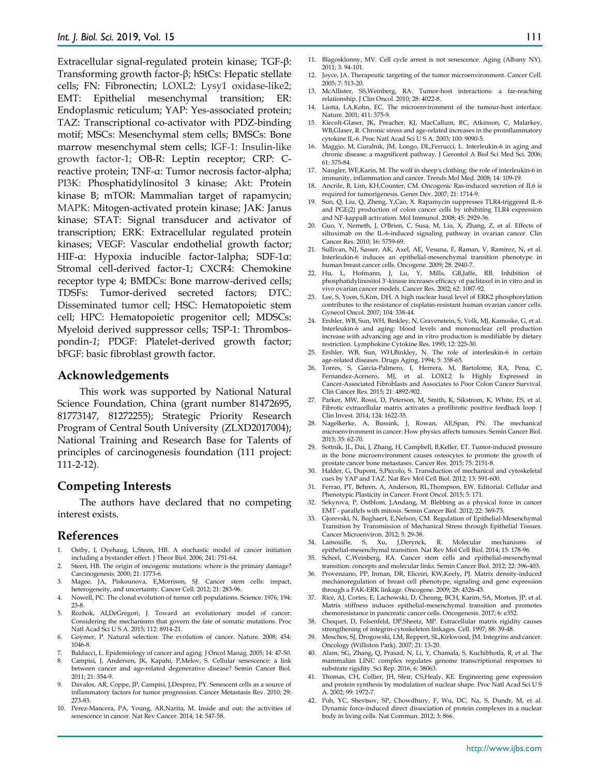Extracellular signal-regulated protein kinase; TGF-β: Transforming growth factor-β; hStCs: Hepatic stellate cells; FN: Fibronectin; LOXL2: Lysy1 oxidase-like2; EMT: Epithelial mesenchymal transition; ER: Endoplasmic reticulum; YAP: Yes-associated protein; TAZ: Transcriptional co-activator with PDZ-binding motif; MSCs: Mesenchymal stem cells; BMSCs: Bone marrow mesenchymal stem cells; IGF-1: Insulin-like growth factor-1; OB-R: Leptin receptor; CRP: Creactive protein; TNF-α: Tumor necrosis factor-alpha; PI3K: Phosphatidylinositol 3 kinase; Akt: Protein kinase B; mTOR: Mammalian target of rapamycin; MAPK: Mitogen-activated protein kinase; JAK: Janus kinase; STAT: Signal transducer and activator of transcription; ERK: Extracellular regulated protein kinases; VEGF: Vascular endothelial growth factor; HIF-α: Hypoxia inducible factor-1alpha; SDF-1α: Stromal cell-derived factor-1; CXCR4: Chemokine receptor type 4; BMDCs: Bone marrow-derived cells; TDSFs: Tumor-derived secreted factors; DTC: Disseminated tumor cell; HSC: Hematopoietic stem cell; HPC: Hematopoietic progenitor cell; MDSCs: Myeloid derived suppressor cells; TSP-1: Thrombospondin-*1*; PDGF: Platelet-derived growth factor; bFGF: basic fibroblast growth factor.

#### **Acknowledgements**

This work was supported by National Natural Science Foundation, China (grant number 81472695, 81773147, 81272255); Strategic Priority Research Program of Central South University (ZLXD2017004); National Training and Research Base for Talents of principles of carcinogenesis foundation (111 project: 111-2-12).

### **Competing Interests**

The authors have declared that no competing interest exists.

#### **References**

- 1. Ostby, I, Oyehaug, L,Steen, HB. A stochastic model of cancer initiation including a bystander effect. J Theor Biol. 2006; 241: 751-64.
- 2. Steen, HB. The origin of oncogenic mutations: where is the primary damage? Carcinogenesis. 2000; 21: 1773-6.
- 3. Magee, JA, Piskounova, E,Morrison, SJ. Cancer stem cells: impact, heterogeneity, and uncertainty. Cancer Cell. 2012; 21: 283-96.
- 4. Nowell, PC. The clonal evolution of tumor cell populations. Science. 1976; 194: 23-8.
- 5. Rozhok, AI,DeGregori, J. Toward an evolutionary model of cancer: Considering the mechanisms that govern the fate of somatic mutations. Proc Natl Acad Sci U S A. 2015; 112: 8914-21.
- 6. Goymer, P. Natural selection: The evolution of cancer. Nature. 2008; 454: 1046-8.
- 7. Balducci, L. Epidemiology of cancer and aging. J Oncol Manag. 2005; 14: 47-50.
- 8. Campisi, J, Andersen, JK, Kapahi, P,Melov, S. Cellular senescence: a link between cancer and age-related degenerative disease? Semin Cancer Biol. 2011; 21: 354-9.
- 9. Davalos, AR, Coppe, JP, Campisi, J,Desprez, PY. Senescent cells as a source of inflammatory factors for tumor progression. Cancer Metastasis Rev. 2010; 29: 273-83.
- Perez-Mancera, PA, Young, AR,Narita, M. Inside and out: the activities of senescence in cancer. Nat Rev Cancer. 2014; 14: 547-58.
- 11. Blagosklonny, MV. Cell cycle arrest is not senescence. Aging (Albany NY). 2011; 3: 94-101.
- 12. Joyce, JA. Therapeutic targeting of the tumor microenvironment. Cancer Cell. 2005; 7: 513-20.
- 13. McAllister, SS,Weinberg, RA. Tumor-host interactions: a far-reaching relationship. J Clin Oncol. 2010; 28: 4022-8.
- 14. Liotta, LA,Kohn, EC. The microenvironment of the tumour-host interface. Nature. 2001; 411: 375-9.
- 15. Kiecolt-Glaser, JK, Preacher, KJ, MacCallum, RC, Atkinson, C, Malarkey, WB,Glaser, R. Chronic stress and age-related increases in the proinflammatory cytokine IL-6. Proc Natl Acad Sci U S A. 2003; 100: 9090-5.
- 16. Maggio, M, Guralnik, JM, Longo, DL,Ferrucci, L. Interleukin-6 in aging and chronic disease: a magnificent pathway. J Gerontol A Biol Sci Med Sci. 2006; 61: 575-84.
- 17. Naugler, WE,Karin, M. The wolf in sheep's clothing: the role of interleukin-6 in immunity, inflammation and cancer. Trends Mol Med. 2008; 14: 109-19.
- 18. Ancrile, B, Lim, KH,Counter, CM. Oncogenic Ras-induced secretion of IL6 is required for tumorigenesis. Genes Dev. 2007; 21: 1714-9.
- 19. Sun, Q, Liu, Q, Zheng, Y,Cao, X. Rapamycin suppresses TLR4-triggered IL-6 and PGE(2) production of colon cancer cells by inhibiting TLR4 expression and NF-kappaB activation. Mol Immunol. 2008; 45: 2929-36.
- 20. Guo, Y, Nemeth, J, O'Brien, C, Susa, M, Liu, X, Zhang, Z, et al. Effects of siltuximab on the IL-6-induced signaling pathway in ovarian cancer. Clin Cancer Res. 2010; 16: 5759-69.
- 21. Sullivan, NJ, Sasser, AK, Axel, AE, Vesuna, F, Raman, V, Ramirez, N, et al. Interleukin-6 induces an epithelial-mesenchymal transition phenotype in human breast cancer cells. Oncogene. 2009; 28: 2940-7.
- 22. Hu, L, Hofmann, J, Lu, Y, Mills, GB,Jaffe, RB. Inhibition of phosphatidylinositol 3'-kinase increases efficacy of paclitaxel in in vitro and in vivo ovarian cancer models. Cancer Res. 2002; 62: 1087-92.
- 23. Lee, S, Yoon, S,Kim, DH. A high nuclear basal level of ERK2 phosphorylation contributes to the resistance of cisplatin-resistant human ovarian cancer cells. Gynecol Oncol. 2007; 104: 338-44.
- 24. Ershler, WB, Sun, WH, Binkley, N, Gravenstein, S, Volk, MJ, Kamoske, G, et al. Interleukin-6 and aging: blood levels and mononuclear cell production increase with advancing age and in vitro production is modifiable by dietary restriction. Lymphokine Cytokine Res. 1993; 12: 225-30.
- 25. Ershler, WB, Sun, WH,Binkley, N. The role of interleukin-6 in certain age-related diseases. Drugs Aging. 1994; 5: 358-65.
- 26. Torres, S, Garcia-Palmero, I, Herrera, M, Bartolome, RA, Pena, C, Fernandez-Acenero, MJ, et al. LOXL2 Is Highly Expressed in Cancer-Associated Fibroblasts and Associates to Poor Colon Cancer Survival. Clin Cancer Res. 2015; 21: 4892-902.
- 27. Parker, MW, Rossi, D, Peterson, M, Smith, K, Sikstrom, K, White, ES, et al. Fibrotic extracellular matrix activates a profibrotic positive feedback loop. J Clin Invest. 2014; 124: 1622-35.
- 28. Nagelkerke, A, Bussink, J, Rowan, AE,Span, PN. The mechanical microenvironment in cancer: How physics affects tumours. Semin Cancer Biol. 2015; 35: 62-70.
- 29. Sottnik, JL, Dai, J, Zhang, H, Campbell, B,Keller, ET. Tumor-induced pressure in the bone microenvironment causes osteocytes to promote the growth of prostate cancer bone metastases. Cancer Res. 2015; 75: 2151-8.
- 30. Halder, G, Dupont, S,Piccolo, S. Transduction of mechanical and cytoskeletal cues by YAP and TAZ. Nat Rev Mol Cell Biol. 2012; 13: 591-600.
- 31. Ferrao, PT, Behren, A, Anderson, RL,Thompson, EW. Editorial: Cellular and Phenotypic Plasticity in Cancer. Front Oncol. 2015; 5: 171.
- 32. Sekyrova, P, Ostblom, J,Andang, M. Blebbing as a physical force in cancer EMT - parallels with mitosis. Semin Cancer Biol. 2012; 22: 369-73.
- 33. Gjorevski, N, Boghaert, E,Nelson, CM. Regulation of Epithelial-Mesenchymal Transition by Transmission of Mechanical Stress through Epithelial Tissues. Cancer Microenviron. 2012; 5: 29-38.
- 34. Lamouille, S, Xu, J,Derynck, R. Molecular mechanisms of epithelial-mesenchymal transition. Nat Rev Mol Cell Biol. 2014; 15: 178-96.
- 35. Scheel, C,Weinberg, RA. Cancer stem cells and epithelial-mesenchymal transition: concepts and molecular links. Semin Cancer Biol. 2012; 22: 396-403.
- 36. Provenzano, PP, Inman, DR, Eliceiri, KW,Keely, PJ. Matrix density-induced mechanoregulation of breast cell phenotype, signaling and gene expression through a FAK-ERK linkage. Oncogene. 2009; 28: 4326-43.
- 37. Rice, AJ, Cortes, E, Lachowski, D, Cheung, BCH, Karim, SA, Morton, JP, et al. Matrix stiffness induces epithelial-mesenchymal transition and promotes chemoresistance in pancreatic cancer cells. Oncogenesis. 2017; 6: e352.
- 38. Choquet, D, Felsenfeld, DP,Sheetz, MP. Extracellular matrix rigidity causes strengthening of integrin-cytoskeleton linkages. Cell. 1997; 88: 39-48.
- 39. Moschos, SJ, Drogowski, LM, Reppert, SL,Kirkwood, JM. Integrins and cancer. Oncology (Williston Park). 2007; 21: 13-20.
- 40. Alam, SG, Zhang, Q, Prasad, N, Li, Y, Chamala, S, Kuchibhotla, R, et al. The mammalian LINC complex regulates genome transcriptional responses to substrate rigidity. Sci Rep. 2016; 6: 38063.
- 41. Thomas, CH, Collier, JH, Sfeir, CS,Healy, KE. Engineering gene expression and protein synthesis by modulation of nuclear shape. Proc Natl Acad Sci U S A. 2002; 99: 1972-7.
- 42. Poh, YC, Shevtsov, SP, Chowdhury, F, Wu, DC, Na, S, Dundr, M, et al. Dynamic force-induced direct dissociation of protein complexes in a nuclear body in living cells. Nat Commun. 2012; 3: 866.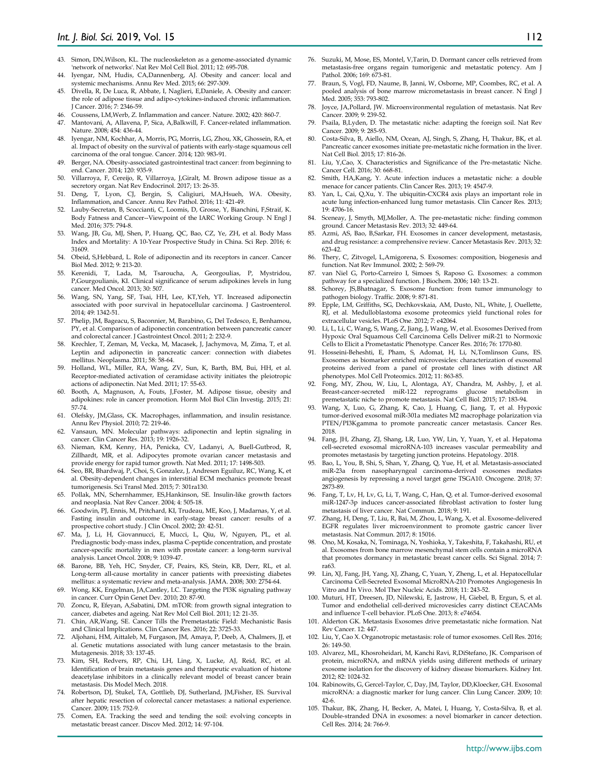- 43. Simon, DN,Wilson, KL. The nucleoskeleton as a genome-associated dynamic 'network of networks'. Nat Rev Mol Cell Biol. 2011; 12: 695-708.
- 44. Iyengar, NM, Hudis, CA,Dannenberg, AJ. Obesity and cancer: local and systemic mechanisms. Annu Rev Med. 2015; 66: 297-309.
- 45. Divella, R, De Luca, R, Abbate, I, Naglieri, E,Daniele, A. Obesity and cancer: the role of adipose tissue and adipo-cytokines-induced chronic inflammation. J Cancer. 2016; 7: 2346-59.
- 
- 46. Coussens, LM,Werb, Z. Inflammation and cancer. Nature. 2002; 420: 860-7. Mantovani, A, Allavena, P, Sica, A,Balkwill, F. Cancer-related inflammation. Nature. 2008; 454: 436-44.
- 48. Iyengar, NM, Kochhar, A, Morris, PG, Morris, LG, Zhou, XK, Ghossein, RA, et al. Impact of obesity on the survival of patients with early-stage squamous cell carcinoma of the oral tongue. Cancer. 2014; 120: 983-91.
- 49. Berger, NA. Obesity-associated gastrointestinal tract cancer: from beginning to end. Cancer. 2014; 120: 935-9.
- 50. Villarroya, F, Cereijo, R, Villarroya, J,Giralt, M. Brown adipose tissue as a secretory organ. Nat Rev Endocrinol. 2017; 13: 26-35.
- 51. Deng, T, Lyon, CJ, Bergin, S, Caligiuri, MA,Hsueh, WA. Obesity, Inflammation, and Cancer. Annu Rev Pathol. 2016; 11: 421-49.
- 52. Lauby-Secretan, B, Scoccianti, C, Loomis, D, Grosse, Y, Bianchini, F,Straif, K. Body Fatness and Cancer--Viewpoint of the IARC Working Group. N Engl J Med. 2016; 375: 794-8.
- 53. Wang, JB, Gu, MJ, Shen, P, Huang, QC, Bao, CZ, Ye, ZH, et al. Body Mass Index and Mortality: A 10-Year Prospective Study in China. Sci Rep. 2016; 6: 31609.
- 54. Obeid, S,Hebbard, L. Role of adiponectin and its receptors in cancer. Cancer Biol Med. 2012; 9: 213-20.
- 55. Kerenidi, T, Lada, M, Tsaroucha, A, Georgoulias, P, Mystridou, P,Gourgoulianis, KI. Clinical significance of serum adipokines levels in lung cancer. Med Oncol. 2013; 30: 507.
- 56. Wang, SN, Yang, SF, Tsai, HH, Lee, KT,Yeh, YT. Increased adiponectin associated with poor survival in hepatocellular carcinoma. J Gastroenterol. 2014; 49: 1342-51.
- 57. Phelip, JM, Bageacu, S, Baconnier, M, Barabino, G, Del Tedesco, E, Benhamou, PY, et al. Comparison of adiponectin concentration between pancreatic cancer and colorectal cancer. J Gastrointest Oncol. 2011; 2: 232-9.
- 58. Krechler, T, Zeman, M, Vecka, M, Macasek, J, Jachymova, M, Zima, T, et al. Leptin and adiponectin in pancreatic cancer: connection with diabetes mellitus. Neoplasma. 2011; 58: 58-64.
- 59. Holland, WL, Miller, RA, Wang, ZV, Sun, K, Barth, BM, Bui, HH, et al. Receptor-mediated activation of ceramidase activity initiates the pleiotropic actions of adiponectin. Nat Med. 2011; 17: 55-63.
- 60. Booth, A, Magnuson, A, Fouts, J,Foster, M. Adipose tissue, obesity and adipokines: role in cancer promotion. Horm Mol Biol Clin Investig. 2015; 21: 57-74.
- 61. Olefsky, JM,Glass, CK. Macrophages, inflammation, and insulin resistance. Annu Rev Physiol. 2010; 72: 219-46.
- 62. Vansaun, MN. Molecular pathways: adiponectin and leptin signaling in cancer. Clin Cancer Res. 2013; 19: 1926-32.
- 63. Nieman, KM, Kenny, HA, Penicka, CV, Ladanyi, A, Buell-Gutbrod, R, Zillhardt, MR, et al. Adipocytes promote ovarian cancer metastasis and provide energy for rapid tumor growth. Nat Med. 2011; 17: 1498-503.
- 64. Seo, BR, Bhardwaj, P, Choi, S, Gonzalez, J, Andresen Eguiluz, RC, Wang, K, et al. Obesity-dependent changes in interstitial ECM mechanics promote breast tumorigenesis. Sci Transl Med. 2015; 7: 301ra130.
- 65. Pollak, MN, Schernhammer, ES,Hankinson, SE. Insulin-like growth factors and neoplasia. Nat Rev Cancer. 2004; 4: 505-18.
- 66. Goodwin, PJ, Ennis, M, Pritchard, KI, Trudeau, ME, Koo, J, Madarnas, Y, et al. Fasting insulin and outcome in early-stage breast cancer: results of a prospective cohort study. J Clin Oncol. 2002; 20: 42-51.
- 67. Ma, J, Li, H, Giovannucci, E, Mucci, L, Qiu, W, Nguyen, PL, et al. Prediagnostic body-mass index, plasma C-peptide concentration, and prostate cancer-specific mortality in men with prostate cancer: a long-term survival analysis. Lancet Oncol. 2008; 9: 1039-47.
- Barone, BB, Yeh, HC, Snyder, CF, Peairs, KS, Stein, KB, Derr, RL, et al. Long-term all-cause mortality in cancer patients with preexisting diabetes mellitus: a systematic review and meta-analysis. JAMA. 2008; 300: 2754-64.
- 69. Wong, KK, Engelman, JA,Cantley, LC. Targeting the PI3K signaling pathway in cancer. Curr Opin Genet Dev. 2010; 20: 87-90.
- 70. Zoncu, R, Efeyan, A,Sabatini, DM. mTOR: from growth signal integration to cancer, diabetes and ageing. Nat Rev Mol Cell Biol. 2011; 12: 21-35.
- 71. Chin, AR,Wang, SE. Cancer Tills the Premetastatic Field: Mechanistic Basis and Clinical Implications. Clin Cancer Res. 2016; 22: 3725-33.
- 72. Aljohani, HM, Aittaleb, M, Furgason, JM, Amaya, P, Deeb, A, Chalmers, JJ, et al. Genetic mutations associated with lung cancer metastasis to the brain. Mutagenesis. 2018; 33: 137-45.
- 73. Kim, SH, Redvers, RP, Chi, LH, Ling, X, Lucke, AJ, Reid, RC, et al. Identification of brain metastasis genes and therapeutic evaluation of histone deacetylase inhibitors in a clinically relevant model of breast cancer brain metastasis. Dis Model Mech. 2018.
- 74. Robertson, DJ, Stukel, TA, Gottlieb, DJ, Sutherland, JM,Fisher, ES. Survival after hepatic resection of colorectal cancer metastases: a national experience. Cancer. 2009; 115: 752-9.
- 75. Comen, EA. Tracking the seed and tending the soil: evolving concepts in metastatic breast cancer. Discov Med. 2012; 14: 97-104.
- 76. Suzuki, M, Mose, ES, Montel, V,Tarin, D. Dormant cancer cells retrieved from metastasis-free organs regain tumorigenic and metastatic potency. Am J Pathol. 2006; 169: 673-81.
- 77. Braun, S, Vogl, FD, Naume, B, Janni, W, Osborne, MP, Coombes, RC, et al. A pooled analysis of bone marrow micrometastasis in breast cancer. N Engl J Med. 2005; 353: 793-802.
- 78. Joyce, JA,Pollard, JW. Microenvironmental regulation of metastasis. Nat Rev Cancer. 2009; 9: 239-52.
- 79. Psaila, B,Lyden, D. The metastatic niche: adapting the foreign soil. Nat Rev Cancer. 2009; 9: 285-93.
- 80. Costa-Silva, B, Aiello, NM, Ocean, AJ, Singh, S, Zhang, H, Thakur, BK, et al. Pancreatic cancer exosomes initiate pre-metastatic niche formation in the liver. Nat Cell Biol. 2015; 17: 816-26.
- 81. Liu, Y,Cao, X. Characteristics and Significance of the Pre-metastatic Niche. Cancer Cell. 2016; 30: 668-81.
- 82. Smith, HA,Kang, Y. Acute infection induces a metastatic niche: a double menace for cancer patients. Clin Cancer Res. 2013; 19: 4547-9.
- Yan, L, Cai, Q,Xu, Y. The ubiquitin-CXCR4 axis plays an important role in acute lung infection-enhanced lung tumor metastasis. Clin Cancer Res. 2013; 19: 4706-16.
- 84. Sceneay, J, Smyth, MJ,Moller, A. The pre-metastatic niche: finding common ground. Cancer Metastasis Rev. 2013; 32: 449-64.
- 85. Azmi, AS, Bao, B,Sarkar, FH. Exosomes in cancer development, metastasis, and drug resistance: a comprehensive review. Cancer Metastasis Rev. 2013; 32: 623-42.
- 86. Thery, C, Zitvogel, L,Amigorena, S. Exosomes: composition, biogenesis and function. Nat Rev Immunol. 2002; 2: 569-79.
- 87. van Niel G, Porto-Carreiro I, Simoes S, Raposo G. Exosomes: a common pathway for a specialized function. J Biochem. 2006; 140: 13-21.
- 88. Schorey, JS,Bhatnagar, S. Exosome function: from tumor immunology to pathogen biology. Traffic. 2008; 9: 871-81.
- Epple, LM, Griffiths, SG, Dechkovskaia, AM, Dusto, NL, White, J, Ouellette, RJ, et al. Medulloblastoma exosome proteomics yield functional roles for extracellular vesicles. PLoS One. 2012; 7: e42064.
- Li, L, Li, C, Wang, S, Wang, Z, Jiang, J, Wang, W, et al. Exosomes Derived from Hypoxic Oral Squamous Cell Carcinoma Cells Deliver miR-21 to Normoxic Cells to Elicit a Prometastatic Phenotype. Cancer Res. 2016; 76: 1770-80.
- 91. Hosseini-Beheshti, E, Pham, S, Adomat, H, Li, N,Tomlinson Guns, ES. Exosomes as biomarker enriched microvesicles: characterization of exosomal proteins derived from a panel of prostate cell lines with distinct AR phenotypes. Mol Cell Proteomics. 2012; 11: 863-85.
- 92. Fong, MY, Zhou, W, Liu, L, Alontaga, AY, Chandra, M, Ashby, J, et al. Breast-cancer-secreted miR-122 reprograms glucose metabolism in premetastatic niche to promote metastasis. Nat Cell Biol. 2015; 17: 183-94.
- 93. Wang, X, Luo, G, Zhang, K, Cao, J, Huang, C, Jiang, T, et al. Hypoxic tumor-derived exosomal miR-301a mediates M2 macrophage polarization via PTEN/PI3Kgamma to promote pancreatic cancer metastasis. Cancer Res. 2018.
- 94. Fang, JH, Zhang, ZJ, Shang, LR, Luo, YW, Lin, Y, Yuan, Y, et al. Hepatoma cell-secreted exosomal microRNA-103 increases vascular permeability and promotes metastasis by targeting junction proteins. Hepatology. 2018.
- 95. Bao, L, You, B, Shi, S, Shan, Y, Zhang, Q, Yue, H, et al. Metastasis-associated miR-23a from nasopharyngeal carcinoma-derived exosomes mediates angiogenesis by repressing a novel target gene TSGA10. Oncogene. 2018; 37: 2873-89.
- 96. Fang, T, Lv, H, Lv, G, Li, T, Wang, C, Han, Q, et al. Tumor-derived exosomal miR-1247-3p induces cancer-associated fibroblast activation to foster lung metastasis of liver cancer. Nat Commun. 2018; 9: 191.
- 97. Zhang, H, Deng, T, Liu, R, Bai, M, Zhou, L, Wang, X, et al. Exosome-delivered EGFR regulates liver microenvironment to promote gastric cancer liver metastasis. Nat Commun. 2017; 8: 15016.
- 98. Ono, M, Kosaka, N, Tominaga, N, Yoshioka, Y, Takeshita, F, Takahashi, RU, et al. Exosomes from bone marrow mesenchymal stem cells contain a microRNA that promotes dormancy in metastatic breast cancer cells. Sci Signal. 2014; 7: ra63.
- 99. Lin, XJ, Fang, JH, Yang, XJ, Zhang, C, Yuan, Y, Zheng, L, et al. Hepatocellular Carcinoma Cell-Secreted Exosomal MicroRNA-210 Promotes Angiogenesis In Vitro and In Vivo. Mol Ther Nucleic Acids. 2018; 11: 243-52.
- 100. Muturi, HT, Dreesen, JD, Nilewski, E, Jastrow, H, Giebel, B, Ergun, S, et al. Tumor and endothelial cell-derived microvesicles carry distinct CEACAMs and influence T-cell behavior. PLoS One. 2013; 8: e74654.
- 101. Alderton GK. Metastasis Exosomes drive premetastatic niche formation. Nat Rev Cancer. 12: 447.
- 102. Liu, Y, Cao X. Organotropic metastasis: role of tumor exosomes. Cell Res. 2016; 26: 149-50.
- 103. Alvarez, ML, Khosroheidari, M, Kanchi Ravi, R,DiStefano, JK. Comparison of protein, microRNA, and mRNA yields using different methods of urinary exosome isolation for the discovery of kidney disease biomarkers. Kidney Int. 2012; 82: 1024-32.
- 104. Rabinowits, G, Gercel-Taylor, C, Day, JM, Taylor, DD,Kloecker, GH. Exosomal microRNA: a diagnostic marker for lung cancer. Clin Lung Cancer. 2009; 10: 42-6.
- 105. Thakur, BK, Zhang, H, Becker, A, Matei, I, Huang, Y, Costa-Silva, B, et al. Double-stranded DNA in exosomes: a novel biomarker in cancer detection. Cell Res. 2014; 24: 766-9.